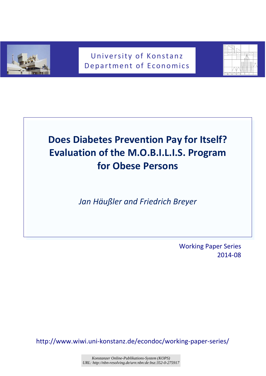

# University of Konstanz Department of Economics



# **Does Diabetes Prevention Pay for Itself? Evaluation of the M.O.B.I.L.I.S. Program for Obese Persons**

*Jan Häußler and Friedrich Breyer*

 Working Paper Series 2014-08

http://www.wiwi.uni-konstanz.de/econdoc/working-paper-series/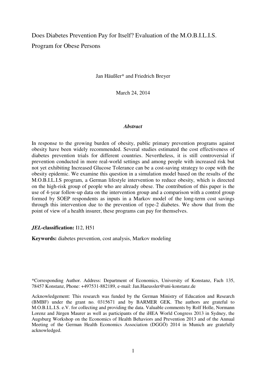# Does Diabetes Prevention Pay for Itself? Evaluation of the M.O.B.I.L.I.S. Program for Obese Persons

Jan Häußler\* and Friedrich Breyer

March 24, 2014

### *Abstract*

In response to the growing burden of obesity, public primary prevention programs against obesity have been widely recommended. Several studies estimated the cost effectiveness of diabetes prevention trials for different countries. Nevertheless, it is still controversial if prevention conducted in more real-world settings and among people with increased risk but not yet exhibiting Increased Glucose Tolerance can be a cost-saving strategy to cope with the obesity epidemic. We examine this question in a simulation model based on the results of the M.O.B.I.L.I.S program, a German lifestyle intervention to reduce obesity, which is directed on the high-risk group of people who are already obese. The contribution of this paper is the use of 4-year follow-up data on the intervention group and a comparison with a control group formed by SOEP respondents as inputs in a Markov model of the long-term cost savings through this intervention due to the prevention of type-2 diabetes. We show that from the point of view of a health insurer, these programs can pay for themselves.

### *JEL***-classification:** I12, H51

**Keywords:** diabetes prevention, cost analysis, Markov modeling

\*Corresponding Author. Address: Department of Economics, University of Konstanz, Fach 135, 78457 Konstanz, Phone: +497531-882189, e-mail: Jan.Haeussler@uni-konstanz.de

Acknowledgement: This research was funded by the German Ministry of Education and Research (BMBF) under the grant no. 0315671 and by BARMER GEK. The authors are grateful to M.O.B.I.L.I.S. e.V. for collecting and providing the data. Valuable comments by Rolf Holle, Normann Lorenz and Jürgen Maurer as well as participants of the iHEA World Congress 2013 in Sydney, the Augsburg Workshop on the Economics of Health Behaviors and Prevention 2013 and of the Annual Meeting of the German Health Economics Association (DGGÖ) 2014 in Munich are gratefully acknowledged.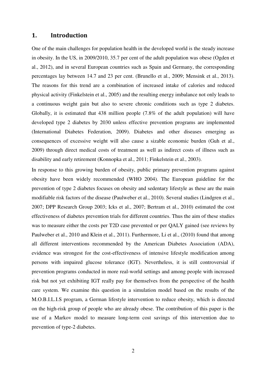# 1. Introduction

One of the main challenges for population health in the developed world is the steady increase in obesity. In the US, in 2009/2010, 35.7 per cent of the adult population was obese (Ogden et al., 2012), and in several European countries such as Spain and Germany, the corresponding percentages lay between 14.7 and 23 per cent. (Brunello et al., 2009; Mensink et al., 2013). The reasons for this trend are a combination of increased intake of calories and reduced physical activity (Finkelstein et al., 2005) and the resulting energy imbalance not only leads to a continuous weight gain but also to severe chronic conditions such as type 2 diabetes. Globally, it is estimated that 438 million people (7.8% of the adult population) will have developed type 2 diabetes by 2030 unless effective prevention programs are implemented (International Diabetes Federation, 2009). Diabetes and other diseases emerging as consequences of excessive weight will also cause a sizable economic burden (Guh et al., 2009) through direct medical costs of treatment as well as indirect costs of illness such as disability and early retirement (Konnopka et al., 2011; Finkelstein et al., 2003).

In response to this growing burden of obesity, public primary prevention programs against obesity have been widely recommended (WHO 2004). The European guideline for the prevention of type 2 diabetes focuses on obesity and sedentary lifestyle as these are the main modifiable risk factors of the disease (Paulweber et al., 2010). Several studies (Lindgren et al., 2007; DPP Research Group 2003; Icks et al., 2007; Bertram et al., 2010) estimated the cost effectiveness of diabetes prevention trials for different countries. Thus the aim of these studies was to measure either the costs per T2D case prevented or per QALY gained (see reviews by Paulweber et al., 2010 and Klein et al., 2011). Furthermore, Li et al., (2010) found that among all different interventions recommended by the American Diabetes Association (ADA), evidence was strongest for the cost-effectiveness of intensive lifestyle modification among persons with impaired glucose tolerance (IGT). Nevertheless, it is still controversial if prevention programs conducted in more real-world settings and among people with increased risk but not yet exhibiting IGT really pay for themselves from the perspective of the health care system. We examine this question in a simulation model based on the results of the M.O.B.I.L.I.S program, a German lifestyle intervention to reduce obesity, which is directed on the high-risk group of people who are already obese. The contribution of this paper is the use of a Markov model to measure long-term cost savings of this intervention due to prevention of type-2 diabetes.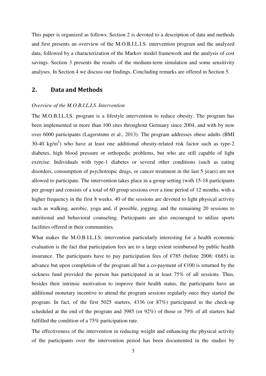This paper is organized as follows. Section 2 is devoted to a description of data and methods and first presents an overview of the M.O.B.I.L.I.S. intervention program and the analyzed data, followed by a characterization of the Markov model framework and the analysis of cost savings. Section 3 presents the results of the medium-term simulation and some sensitivity analyses. In Section 4 we discuss our findings. Concluding remarks are offered in Section 5.

# 2. Data and Methods

#### *Overview of the M.O.B.I.L.I.S. Intervention*

The M.O.B.I.L.I.S. program is a lifestyle intervention to reduce obesity. The program has been implemented in more than 100 sites throughout Germany since 2004, and with by now over 6000 participants (Lagerstrøm et al., 2013). The program addresses obese adults (BMI 30-40 kg/m<sup>2</sup>) who have at least one additional obesity-related risk factor such as type-2 diabetes, high blood pressure or orthopedic problems, but who are still capable of light exercise. Individuals with type-1 diabetes or several other conditions (such as eating disorders, consumption of psychotropic drugs, or cancer treatment in the last 5 years) are not allowed to participate. The intervention takes place in a group setting (with 15-18 participants per group) and consists of a total of 60 group sessions over a time period of 12 months, with a higher frequency in the first 8 weeks. 40 of the sessions are devoted to light physical activity such as walking, aerobic, yoga and, if possible, jogging, and the remaining 20 sessions to nutritional and behavioral counseling. Participants are also encouraged to utilize sports facilities offered in their communities.

What makes the M.O.B.I.L.I.S. intervention particularly interesting for a health economic evaluation is the fact that participation fees are to a large extent reimbursed by public health insurance. The participants have to pay participation fees of  $\epsilon$ 785 (before 2008:  $\epsilon$ 685) in advance but upon completion of the program all but a co-payment of  $\epsilon$ 100 is returned by the sickness fund provided the person has participated in at least 75% of all sessions. Thus, besides their intrinsic motivation to improve their health status, the participants have an additional monetary incentive to attend the program sessions regularly once they started the program. In fact, of the first 5025 starters, 4336 (or 87%) participated in the check-up scheduled at the end of the program and 3985 (or 92%) of those or 79% of all starters had fulfilled the condition of a 75% participation rate.

The effectiveness of the intervention in reducing weight and enhancing the physical activity of the participants over the intervention period has been documented in the studies by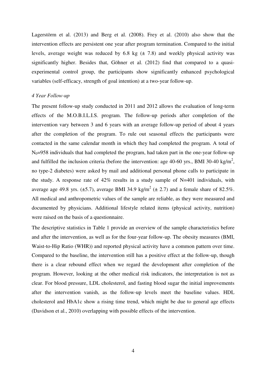Lagerstörm et al. (2013) and Berg et al. (2008). Frey et al. (2010) also show that the intervention effects are persistent one year after program termination. Compared to the initial levels, average weight was reduced by 6.8 kg  $(\pm 7.8)$  and weekly physical activity was significantly higher. Besides that, Göhner et al. (2012) find that compared to a quasiexperimental control group, the participants show significantly enhanced psychological variables (self-efficacy, strength of goal intention) at a two-year follow-up.

### *4 Year Follow-up*

The present follow-up study conducted in 2011 and 2012 allows the evaluation of long-term effects of the M.O.B.I.L.I.S. program. The follow-up periods after completion of the intervention vary between 3 and 6 years with an average follow-up period of about 4 years after the completion of the program. To rule out seasonal effects the participants were contacted in the same calendar month in which they had completed the program. A total of  $N_0$ =958 individuals that had completed the program, had taken part in the one-year follow-up and fulfilled the inclusion criteria (before the intervention: age 40-60 yrs., BMI 30-40 kg/m<sup>2</sup>, no type-2 diabetes) were asked by mail and additional personal phone calls to participate in the study. A response rate of 42% results in a study sample of N=401 individuals, with average age 49.8 yrs. ( $\pm$ 5.7), average BMI 34.9 kg/m<sup>2</sup> ( $\pm$  2.7) and a female share of 82.5%. All medical and anthropometric values of the sample are reliable, as they were measured and documented by physicians. Additional lifestyle related items (physical activity, nutrition) were raised on the basis of a questionnaire.

The descriptive statistics in Table 1 provide an overview of the sample characteristics before and after the intervention, as well as for the four-year follow-up. The obesity measures (BMI, Waist-to-Hip Ratio (WHR)) and reported physical activity have a common pattern over time. Compared to the baseline, the intervention still has a positive effect at the follow-up, though there is a clear rebound effect when we regard the development after completion of the program. However, looking at the other medical risk indicators, the interpretation is not as clear. For blood pressure, LDL cholesterol, and fasting blood sugar the initial improvements after the intervention vanish, as the follow-up levels meet the baseline values. HDL cholesterol and HbA1c show a rising time trend, which might be due to general age effects (Davidson et al., 2010) overlapping with possible effects of the intervention.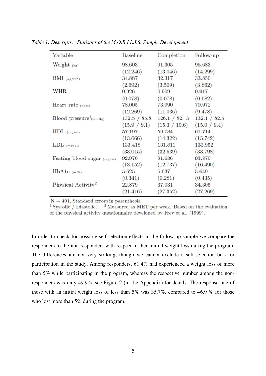| Variable                           | <b>Baseline</b> | Completion    | Follow-up    |
|------------------------------------|-----------------|---------------|--------------|
| Weight $(kg)$                      | 98.603          | 91.305        | 95.683       |
|                                    | (12.246)        | (13.046)      | (14.299)     |
| BMI $(kg/m^2)$                     | 34.887          | 32.317        | 33.850       |
|                                    | (2.692)         | (3.509)       | (3.862)      |
| <b>WHR</b>                         | 0.926           | 0.909         | 0.917        |
|                                    | (0.078)         | (0.078)       | (0.082)      |
| Heart rate (bpm)                   | 78.005          | 73.990        | 70.972       |
|                                    | (12.269)        | (11.036)      | (9.478)      |
| Blood pressure <sup>1</sup> (mmHg) | 132.5 / 85.8    | 126.1 / 82.3  | 132.1 / 82.5 |
|                                    | (15.9 / 9.1)    | (15.3 / 10.6) | (15.0 / 9.4) |
| $HDL$ (mg/dl)                      | 57.197          | 59.784        | 61.714       |
|                                    | (13.666)        | (14.322)      | (15.742)     |
| $LDL$ (mg/dl)                      | 133.418         | 131.811       | 133.952      |
|                                    | (33.015)        | (32.639)      | (33.798)     |
| Fasting blood sugar $(mg/dl)$      | 92.970          | 91.636        | 93.870       |
|                                    | (13.152)        | (12.737)      | (16.490)     |
| $HbA1c$ (in %)                     | 5.625           | 5.637         | 5.649        |
|                                    | (0.341)         | (0.281)       | (0.435)      |
| Physical Activity <sup>2</sup>     | 22.879          | 37.031        | 34.305       |
|                                    | (21.416)        | (27.352)      | (27.269)     |

*Table 1: Descriptive Statistics of the M.O.B.I.L.I.S. Sample Development* 

 $N = 401$ , Standard errors in parenthesis.

<sup>1</sup> Systolic / Diastolic.  $\degree$  2 Measured as MET per week. Based on the evaluation of the physical activity questionnaire developed by Frey et al. (1999).

In order to check for possible self-selection effects in the follow-up sample we compare the responders to the non-responders with respect to their initial weight loss during the program. The differences are not very striking, though we cannot exclude a self-selection bias for participation in the study. Among responders, 61.4% had experienced a weight loss of more than 5% while participating in the program, whereas the respective number among the nonresponders was only 49.9%, see Figure 2 (in the Appendix) for details. The response rate of those with an initial weight loss of less than 5% was 35.7%, compared to 46.9 % for those who lost more than 5% during the program.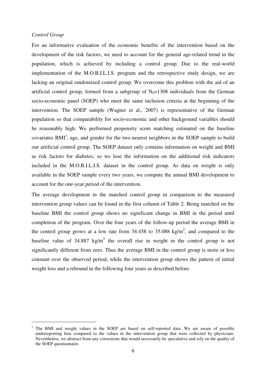#### *Control Group*

 $\overline{a}$ 

For an informative evaluation of the economic benefits of the intervention based on the development of the risk factors, we need to account for the general age-related trend in the population, which is achieved by including a control group. Due to the real-world implementation of the M.O.B.I.L.I.S. program and the retrospective study design, we are lacking an original randomized control group. We overcome this problem with the aid of an artificial control group, formed from a subgroup of  $N_0=1308$  individuals from the German socio-economic panel (SOEP) who meet the same inclusion criteria at the beginning of the intervention. The SOEP sample (Wagner et al., 2007) is representative of the German population so that comparability for socio-economic and other background variables should be reasonably high. We performed propensity score matching estimated on the baseline covariates  $BMI<sup>1</sup>$ , age, and gender for the two nearest neighbors in the SOEP sample to build our artificial control group. The SOEP dataset only contains information on weight and BMI as risk factors for diabetes, so we lose the information on the additional risk indicators included in the M.O.B.I.L.I.S. dataset in the control group. As data on weight is only available in the SOEP sample every two years, we compute the annual BMI development to account for the one-year period of the intervention.

The average development in the matched control group in comparison to the measured intervention group values can be found in the first column of Table 2. Being matched on the baseline BMI the control group shows no significant change in BMI in the period until completion of the program. Over the four years of the follow-up period the average BMI in the control group grows at a low rate from  $34.458$  to  $35.088$  kg/m<sup>2</sup>, and compared to the baseline value of 34.887 kg/m<sup>2</sup> the overall rise in weight in the control group is not significantly different from zero. Thus the average BMI in the control group is more or less constant over the observed period, while the intervention group shows the pattern of initial weight loss and a rebound in the following four years as described before.

<sup>1</sup> The BMI and weight values in the SOEP are based on self-reported data. We are aware of possible underreporting bias compared to the values in the intervention group that were collected by physicians. Nevertheless, we abstract from any corrections that would necessarily be speculative and rely on the quality of the SOEP questionnaire.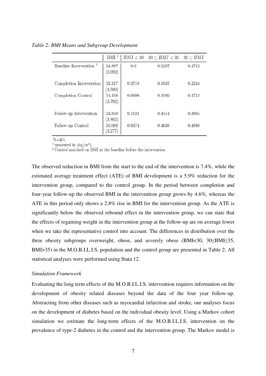|                                    |                   | BMI $1 \mid BMI < 30$ | $30 \leq BMI < 35$ | 35 < BMI |
|------------------------------------|-------------------|-----------------------|--------------------|----------|
| Baseline Intervention <sup>2</sup> | 34.887<br>(2.692) | 0.0                   | 0.5287             | 0.4713   |
| Completion Intervention            | 32.317<br>3.509)  | 0.2718                | 0.5037             | 0.2244   |
| Completion Control                 | 34.458<br>(2.792) | 0.0698                | 0.4589             | 0.4713   |
| Follow-up Intervention             | 33.850<br>(3.862) | 0.1621                | 0.4514             | 0.3865   |
| Follow-up Control                  | 35.088<br>3.277   | 0.0474                | 0.4638             | 0.4888   |

*Table 2: BMI Means and Subgroup Development* 

 $N = 401$ .

<sup>1</sup> measured in  $(kg/m^2)$ .

<sup>2</sup> Control matched on BMI at the baseline before the intervention.

The observed reduction in BMI from the start to the end of the intervention is 7.4%, while the estimated average treatment effect (ATE) of BMI development is a 5.9% reduction for the intervention group, compared to the control group. In the period between completion and four-year follow-up the observed BMI in the intervention group grows by 4.6%, whereas the ATE in this period only shows a 2.8% rise in BMI for the intervention group. As the ATE is significantly below the observed rebound effect in the intervention group, we can state that the effects of regaining weight in the intervention group at the follow-up are on average lower when we take the representative control into account. The differences in distribution over the three obesity subgroups overweight, obese, and severely obese (BMI<30, 30≤BMI≤35, BMI>35) in the M.O.B.I.L.I.S. population and the control group are presented in Table 2. All statistical analyses were performed using Stata 12.

#### *Simulation Framework*

Evaluating the long term effects of the M.O.B.I.L.I.S. intervention requires information on the development of obesity related diseases beyond the data of the four year follow-up. Abstracting from other diseases such as myocardial infarction and stroke, our analyses focus on the development of diabetes based on the individual obesity level. Using a Markov cohort simulation we estimate the long-term effects of the M.O.B.I.L.I.S. intervention on the prevalence of type-2 diabetes in the control and the intervention group. The Markov model is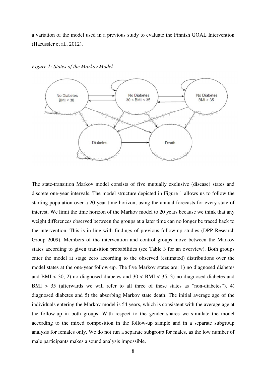a variation of the model used in a previous study to evaluate the Finnish GOAL Intervention (Haeussler et al., 2012).



*Figure 1: States of the Markov Model* 

The state-transition Markov model consists of five mutually exclusive (disease) states and discrete one-year intervals. The model structure depicted in Figure 1 allows us to follow the starting population over a 20-year time horizon, using the annual forecasts for every state of interest. We limit the time horizon of the Markov model to 20 years because we think that any weight differences observed between the groups at a later time can no longer be traced back to the intervention. This is in line with findings of previous follow-up studies (DPP Research Group 2009). Members of the intervention and control groups move between the Markov states according to given transition probabilities (see Table 3 for an overview). Both groups enter the model at stage zero according to the observed (estimated) distributions over the model states at the one-year follow-up. The five Markov states are: 1) no diagnosed diabetes and BMI < 30, 2) no diagnosed diabetes and  $30 < BMI < 35$ , 3) no diagnosed diabetes and  $BMI > 35$  (afterwards we will refer to all three of these states as "non-diabetes"), 4) diagnosed diabetes and 5) the absorbing Markov state death. The initial average age of the individuals entering the Markov model is 54 years, which is consistent with the average age at the follow-up in both groups. With respect to the gender shares we simulate the model according to the mixed composition in the follow-up sample and in a separate subgroup analysis for females only. We do not run a separate subgroup for males, as the low number of male participants makes a sound analysis impossible.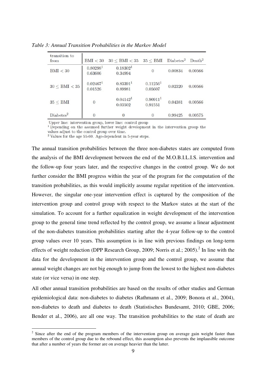| transition to<br>from    | BMI < 30                        | $30 \leq {\rm BMI} < 35$ $35 \leq {\rm BMI}$ |                                   | $Diabetes2$ Death <sup>2</sup> |         |
|--------------------------|---------------------------------|----------------------------------------------|-----------------------------------|--------------------------------|---------|
| $\mathrm{BMI} < 30$      | 0.80298 <sup>1</sup><br>0.63606 | 0.18302 <sup>1</sup><br>0.34994              | $\overline{0}$                    | 0.00834                        | 0.00566 |
| $30 \leq {\rm BMI} < 35$ | 0.024671<br>0.01526             | 0.833911<br>0.89981                          | 0.112561<br>0.05607               | 0.02320                        | 0.00566 |
| $35 \leq {\rm BMI}$      | $\mathbf{0}$                    | 0.04142 <sup>1</sup><br>0.03502              | $0.90911$ <sup>1</sup><br>0.91551 | 0.04381                        | 0.00566 |
| Diabetes <sup>2</sup>    | $\overline{0}$                  |                                              | $\Omega$                          | 0.99425                        | 0.00575 |

*Table 3: Annual Transition Probabilities in the Markov Model* 

Upper line: intervention group, lower line: control group

 $1$  Depending on the assumed further weight development in the intervention group the values adjust to the control group over time.

 $2$  Values for the age 55-60. Age-dependent in 5-year steps.

 $\overline{a}$ 

The annual transition probabilities between the three non-diabetes states are computed from the analysis of the BMI development between the end of the M.O.B.I.L.I.S. intervention and the follow-up four years later, and the respective changes in the control group. We do not further consider the BMI progress within the year of the program for the computation of the transition probabilities, as this would implicitly assume regular repetition of the intervention. However, the singular one-year intervention effect is captured by the composition of the intervention group and control group with respect to the Markov states at the start of the simulation. To account for a further equalization in weight development of the intervention group to the general time trend reflected by the control group, we assume a linear adjustment of the non-diabetes transition probabilities starting after the 4-year follow-up to the control group values over 10 years. This assumption is in line with previous findings on long-term effects of weight reduction (DPP Research Group, 2009; Norris et al.; 2005).<sup>2</sup> In line with the data for the development in the intervention group and the control group, we assume that annual weight changes are not big enough to jump from the lowest to the highest non-diabetes state (or vice versa) in one step.

All other annual transition probabilities are based on the results of other studies and German epidemiological data: non-diabetes to diabetes (Rathmann et al., 2009; Bonora et al., 2004), non-diabetes to death and diabetes to death (Statistisches Bundesamt, 2010; GBE, 2006; Bender et al., 2006), are all one way. The transition probabilities to the state of death are

 $2^{2}$  Since after the end of the program members of the intervention group on average gain weight faster than members of the control group due to the rebound effect, this assumption also prevents the implausible outcome that after a number of years the former are on average heavier than the latter.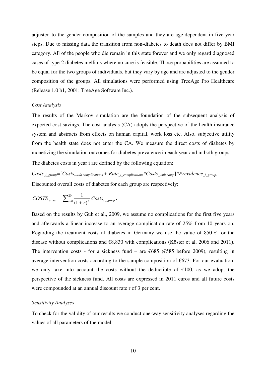adjusted to the gender composition of the samples and they are age-dependent in five-year steps. Due to missing data the transition from non-diabetes to death does not differ by BMI category. All of the people who die remain in this state forever and we only regard diagnosed cases of type-2 diabetes mellitus where no cure is feasible. Those probabilities are assumed to be equal for the two groups of individuals, but they vary by age and are adjusted to the gender composition of the groups. All simulations were performed using TreeAge Pro Healthcare (Release 1.0 b1, 2001; TreeAge Software Inc.).

#### *Cost Analysis*

The results of the Markov simulation are the foundation of the subsequent analysis of expected cost savings. The cost analysis (CA) adopts the perspective of the health insurance system and abstracts from effects on human capital, work loss etc. Also, subjective utility from the health state does not enter the CA. We measure the direct costs of diabetes by monetizing the simulation outcomes for diabetes prevalence in each year and in both groups.

The diabetes costs in year i are defined by the following equation:

*Costs*  $_{i}$  group<sup>=</sup>[*Costs\_w/o complications*  $+$  *Rate*  $_{i}$  *complications*<sup>\*</sup>*Costs* with comp]<sup>\*</sup>Prevalence  $_{i}$  group. Discounted overall costs of diabetes for each group are respectively:

$$
COSTS_{\text{group}} = \sum_{i=0}^{20} \frac{1}{(1+r)^i} \text{Costs}_{i\text{ group}}.
$$

Based on the results by Guh et al., 2009, we assume no complications for the first five years and afterwards a linear increase to an average complication rate of 25% from 10 years on. Regarding the treatment costs of diabetes in Germany we use the value of 850  $\epsilon$  for the disease without complications and  $\epsilon$ 8,830 with complications (Köster et al. 2006 and 2011). The intervention costs - for a sickness fund – are  $\epsilon$ 685 ( $\epsilon$ 585 before 2009), resulting in average intervention costs according to the sample composition of  $\epsilon$ 673. For our evaluation, we only take into account the costs without the deductible of  $£100$ , as we adopt the perspective of the sickness fund. All costs are expressed in 2011 euros and all future costs were compounded at an annual discount rate r of 3 per cent.

#### *Sensitivity Analyses*

To check for the validity of our results we conduct one-way sensitivity analyses regarding the values of all parameters of the model.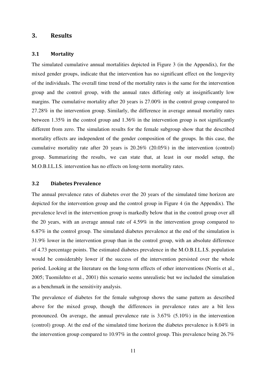# 3. Results

#### 3.1 Mortality

The simulated cumulative annual mortalities depicted in Figure 3 (in the Appendix), for the mixed gender groups, indicate that the intervention has no significant effect on the longevity of the individuals. The overall time trend of the mortality rates is the same for the intervention group and the control group, with the annual rates differing only at insignificantly low margins. The cumulative mortality after 20 years is 27.00% in the control group compared to 27.28% in the intervention group. Similarly, the difference in average annual mortality rates between 1.35% in the control group and 1.36% in the intervention group is not significantly different from zero. The simulation results for the female subgroup show that the described mortality effects are independent of the gender composition of the groups. In this case, the cumulative mortality rate after 20 years is 20.26% (20.05%) in the intervention (control) group. Summarizing the results, we can state that, at least in our model setup, the M.O.B.I.L.I.S. intervention has no effects on long-term mortality rates.

#### 3.2 Diabetes Prevalence

The annual prevalence rates of diabetes over the 20 years of the simulated time horizon are depicted for the intervention group and the control group in Figure 4 (in the Appendix). The prevalence level in the intervention group is markedly below that in the control group over all the 20 years, with an average annual rate of 4.59% in the intervention group compared to 6.87% in the control group. The simulated diabetes prevalence at the end of the simulation is 31.9% lower in the intervention group than in the control group, with an absolute difference of 4.73 percentage points. The estimated diabetes prevalence in the M.O.B.I.L.I.S. population would be considerably lower if the success of the intervention persisted over the whole period. Looking at the literature on the long-term effects of other interventions (Norris et al., 2005; Tuomilehto et al., 2001) this scenario seems unrealistic but we included the simulation as a benchmark in the sensitivity analysis.

The prevalence of diabetes for the female subgroup shows the same pattern as described above for the mixed group, though the differences in prevalence rates are a bit less pronounced. On average, the annual prevalence rate is  $3.67\%$  (5.10%) in the intervention (control) group. At the end of the simulated time horizon the diabetes prevalence is 8.04% in the intervention group compared to 10.97% in the control group. This prevalence being 26.7%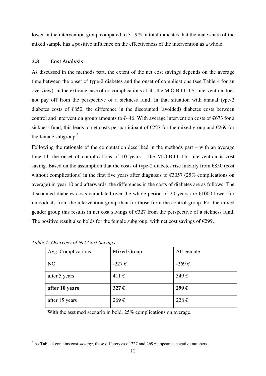lower in the intervention group compared to 31.9% in total indicates that the male share of the mixed sample has a positive influence on the effectiveness of the intervention as a whole.

# 3.3 Cost Analysis

As discussed in the methods part, the extent of the net cost savings depends on the average time between the onset of type-2 diabetes and the onset of complications (see Table 4 for an overview). In the extreme case of no complications at all, the M.O.B.I.L.I.S. intervention does not pay off from the perspective of a sickness fund. In that situation with annual type-2 diabetes costs of  $\epsilon$ 850, the difference in the discounted (avoided) diabetes costs between control and intervention group amounts to  $€446$ . With average intervention costs of  $€673$  for a sickness fund, this leads to net costs per participant of  $\epsilon$ 227 for the mixed group and  $\epsilon$ 269 for the female subgroup.<sup>3</sup>

Following the rationale of the computation described in the methods part – with an average time till the onset of complications of 10 years – the M.O.B.I.L.I.S. intervention is cost saving. Based on the assumption that the costs of type-2 diabetes rise linearly from €850 (cost without complications) in the first five years after diagnosis to  $\epsilon$ 3057 (25% complications on average) in year 10 and afterwards, the differences in the costs of diabetes are as follows: The discounted diabetes costs cumulated over the whole period of 20 years are  $\epsilon$ 1000 lower for individuals from the intervention group than for those from the control group. For the mixed gender group this results in net cost savings of €327 from the perspective of a sickness fund. The positive result also holds for the female subgroup, with net cost savings of  $\epsilon$ 299.

| Avg. Complications | Mixed Group               | All Female          |
|--------------------|---------------------------|---------------------|
| N <sub>O</sub>     | $-227 \in$                | $-269 \text{ } \in$ |
| after 5 years      | 411 $\varepsilon$         | 349€                |
| after 10 years     | $327 \,\mathrm{\epsilon}$ | $299 \,\text{E}$    |
| after 15 years     | 269€                      | 228€                |

*Table 4: Overview of Net Cost Savings* 

With the assumed scenario in bold. 25% complications on average.

<sup>&</sup>lt;sup>3</sup> As Table 4 contains cost *savings*, these differences of 227 and 269  $\epsilon$  appear as negative numbers.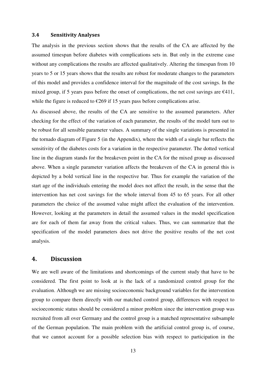#### 3.4 Sensitivity Analyses

The analysis in the previous section shows that the results of the CA are affected by the assumed timespan before diabetes with complications sets in. But only in the extreme case without any complications the results are affected qualitatively. Altering the timespan from 10 years to 5 or 15 years shows that the results are robust for moderate changes to the parameters of this model and provides a confidence interval for the magnitude of the cost savings. In the mixed group, if 5 years pass before the onset of complications, the net cost savings are  $\epsilon$ 411, while the figure is reduced to  $\epsilon$ 269 if 15 years pass before complications arise.

As discussed above, the results of the CA are sensitive to the assumed parameters. After checking for the effect of the variation of each parameter, the results of the model turn out to be robust for all sensible parameter values. A summary of the single variations is presented in the tornado diagram of Figure 5 (in the Appendix), where the width of a single bar reflects the sensitivity of the diabetes costs for a variation in the respective parameter. The dotted vertical line in the diagram stands for the breakeven point in the CA for the mixed group as discussed above. When a single parameter variation affects the breakeven of the CA in general this is depicted by a bold vertical line in the respective bar. Thus for example the variation of the start age of the individuals entering the model does not affect the result, in the sense that the intervention has net cost savings for the whole interval from 45 to 65 years. For all other parameters the choice of the assumed value might affect the evaluation of the intervention. However, looking at the parameters in detail the assumed values in the model specification are for each of them far away from the critical values. Thus, we can summarize that the specification of the model parameters does not drive the positive results of the net cost analysis.

## 4. Discussion

We are well aware of the limitations and shortcomings of the current study that have to be considered. The first point to look at is the lack of a randomized control group for the evaluation. Although we are missing socioeconomic background variables for the intervention group to compare them directly with our matched control group, differences with respect to socioeconomic status should be considered a minor problem since the intervention group was recruited from all over Germany and the control group is a matched representative subsample of the German population. The main problem with the artificial control group is, of course, that we cannot account for a possible selection bias with respect to participation in the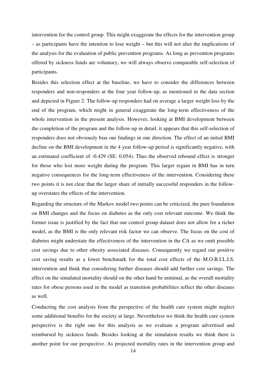intervention for the control group. This might exaggerate the effects for the intervention group – as participants have the intention to lose weight – but this will not alter the implications of the analysis for the evaluation of public prevention programs. As long as prevention programs offered by sickness funds are voluntary, we will always observe comparable self-selection of participants.

Besides this selection effect at the baseline, we have to consider the differences between responders and non-responders at the four year follow-up, as mentioned in the data section and depicted in Figure 2. The follow-up responders had on average a larger weight loss by the end of the program, which might in general exaggerate the long-term effectiveness of the whole intervention in the present analysis. However, looking at BMI development between the completion of the program and the follow-up in detail, it appears that this self-selection of responders does not obviously bias our findings in one direction. The effect of an initial BMI decline on the BMI development in the 4 year follow-up period is significantly negative, with an estimated coefficient of -0.429 (SE: 0.054). Thus the observed rebound effect is stronger for those who lost more weight during the program. This larger regain in BMI has in turn negative consequences for the long-term effectiveness of the intervention. Considering these two points it is not clear that the larger share of initially successful responders in the followup overstates the effects of the intervention.

Regarding the structure of the Markov model two points can be criticized, the pure foundation on BMI changes and the focus on diabetes as the only cost relevant outcome. We think the former issue is justified by the fact that our control group dataset does not allow for a richer model, as the BMI is the only relevant risk factor we can observe. The focus on the cost of diabetes might understate the effectiveness of the intervention in the CA as we omit possible cost savings due to other obesity associated diseases. Consequently we regard our positive cost saving results as a lower benchmark for the total cost effects of the M.O.B.I.L.I.S. intervention and think that considering further diseases should add further cost savings. The effect on the simulated mortality should on the other hand be minimal, as the overall mortality rates for obese persons used in the model as transition probabilities reflect the other diseases as well.

Conducting the cost analysis from the perspective of the health care system might neglect some additional benefits for the society at large. Nevertheless we think the health care system perspective is the right one for this analysis as we evaluate a program advertised and reimbursed by sickness funds. Besides looking at the simulation results we think there is another point for our perspective. As projected mortality rates in the intervention group and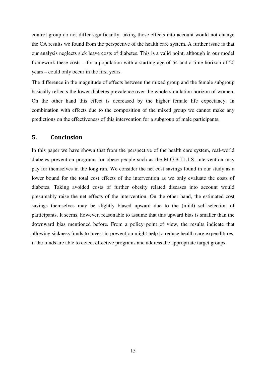control group do not differ significantly, taking those effects into account would not change the CA results we found from the perspective of the health care system. A further issue is that our analysis neglects sick leave costs of diabetes. This is a valid point, although in our model framework these costs – for a population with a starting age of 54 and a time horizon of 20 years – could only occur in the first years.

The difference in the magnitude of effects between the mixed group and the female subgroup basically reflects the lower diabetes prevalence over the whole simulation horizon of women. On the other hand this effect is decreased by the higher female life expectancy. In combination with effects due to the composition of the mixed group we cannot make any predictions on the effectiveness of this intervention for a subgroup of male participants.

# 5. Conclusion

In this paper we have shown that from the perspective of the health care system, real-world diabetes prevention programs for obese people such as the M.O.B.I.L.I.S. intervention may pay for themselves in the long run. We consider the net cost savings found in our study as a lower bound for the total cost effects of the intervention as we only evaluate the costs of diabetes. Taking avoided costs of further obesity related diseases into account would presumably raise the net effects of the intervention. On the other hand, the estimated cost savings themselves may be slightly biased upward due to the (mild) self-selection of participants. It seems, however, reasonable to assume that this upward bias is smaller than the downward bias mentioned before. From a policy point of view, the results indicate that allowing sickness funds to invest in prevention might help to reduce health care expenditures, if the funds are able to detect effective programs and address the appropriate target groups.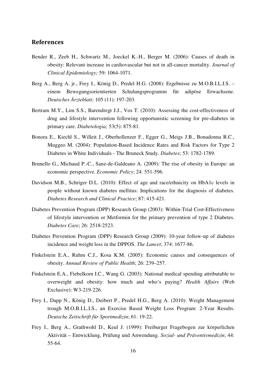# References

- Bender R., Zeeb H., Schwartz M., Joeckel K.-H., Berger M. (2006): Causes of death in obesity: Relevant increase in cardiovascular but not in all-cancer mortality. *Journal of Clinical Epidemiology;* 59: 1064-1071.
- Berg A., Berg A. jr., Frey I., König D., Predel H.G. (2008): Ergebnisse zu M.O.B.I.L.I.S. einem Bewegungsorientierten Schulungsprogramm für adipöse Erwachsene. *Deutsches Ärzteblatt;* 105 (11): 197-203.
- Bertram M.Y., Lim S.S., Barendregt J.J., Vos T. (2010): Assessing the cost-effectiveness of drug and lifestyle intervention following opportunistic screening for pre-diabetes in primary care. *Diabetologia;* 53(5): 875-81.
- Bonora E., Kiechl S., Willeit J., Oberhollenzer F., Egger G., Meigs J.B., Bonadonna R.C., Muggeo M. (2004): Population-Based Incidence Rates and Risk Factors for Type 2 Diabetes in White Individuals - The Bruneck Study. *Diabetes*; 53: 1782-1789.
- Brunello G., Michaud P.-C., Sanz-de-Galdeano A. (2009): The rise of obesity in Europe: an economic perspective. *Economic Policy*; 24: 551-596.
- Davidson M.B., Schriger D.L. (2010): Effect of age and race/ethnicity on HbA1c levels in people without known diabetes mellitus: Implications for the diagnosis of diabetes. *Diabetes Research and Clinical Practice*; 87: 415-421.
- Diabetes Prevention Program (DPP) Research Group (2003): Within-Trial Cost-Effectiveness of lifestyle intervention or Metformin for the primary prevention of type 2 Diabetes. *Diabetes Care*; 26: 2518-2523.
- Diabetes Prevention Program (DPP) Research Group (2009): 10-year follow-up of diabetes incidence and weight loss in the DPPOS. *The Lancet*; 374: 1677-86.
- Finkelstein E.A., Ruhm C.J., Kosa K.M. (2005): Economic causes and consequences of obesity. *Annual Review of Public Health*; 26: 239–257.
- Finkelstein E.A., Fiebelkorn I.C., Wang G. (2003): National medical spending attributable to overweight and obesity: how much and who's paying? *Health Affairs* (Web Exclusive): W3-219-226.
- Frey I., Dapp N., König D., Deibert P., Predel H.G., Berg A. (2010): Weight Management trough M.O.B.I.L.I.S., an Exercise Based Weight Loss Program: 2-Year Results. *Deutsche Zeitschrift für Sportmedizin*; 61: 19-22.
- Frey I., Berg A., Grathwohl D., Keul J. (1999): Freiburger Fragebogen zur körperlichen Aktivität – Entwicklung, Prüfung und Anwendung. *Sozial- und Präventivmedizin*; 44: 55-64.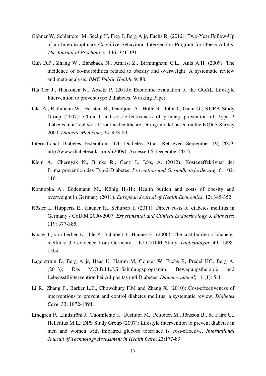- Göhner W, Schlatterer M, Seelig H, Frey I, Berg A jr, Fuchs R. (2012): Two-Year Follow-Up of an Interdisciplinary Cognitive-Behavioral Intervention Program for Obese Adults. *The Journal of Psychology*; 146: 371-391.
- Guh D.P., Zhang W., Bansback N., Amarsi Z., Birmingham C.L., Anis A.H. (2009): The incidence of co-morbidities related to obesity and overweight: A systematic review and meta-analysis. *BMC Public Health*; 9: 88.
- Häußler J., Hankonen N., Absetz P. (2013): Economic evaluation of the GOAL Lifestyle Intervention to prevent type 2 diabetes. Working Paper
- Icks A., Rathmann W., Haastert B., Gandjour A., Holle R., John J., Giani G.; KORA Study Group (2007): Clinical and cost-effectiveness of primary prevention of Type 2 diabetes in a 'real world' routine healthcare setting: model based on the KORA Survey 2000. *Diabetic Medicine;* 24: 473-80.
- International Diabetes Federation: IDF Diabetes Atlas. Retrieved September 19, 2009, http://www.diabetesatlas.org/ (2009). Accessed 6. December 2013
- Klein A., Chernyak N., Brinks R., Genz J., Icks, A. (2012): Kosteneffektivität der Primärprävention des Typ-2-Diabetes. *Prävention und Gesundheitsförderung;* 6: 102- 110.
- Konnopka A., Bödemann M., König H.-H.: Health burden and costs of obesity and overweight in Germany (2011). *European Journal of Health Economics*; 12: 345-352.
- Köster I., Huppertz E., Hauner H., Schubert I. (2011): Direct costs of diabetes mellitus in Germany - CoDiM 2000-2007. *Experimental and Clinical Endocrinology & Diabetes*; 119: 377-385.
- Köster I., von Ferber L., Ihle P., Schubert I., Hauner H. (2006): The cost burden of diabetes mellitus: the evidence from Germany - the CoDiM Study. *Diabetologia*; 49: 1498- 1504.
- Lagerstrøm D, Berg A jr, Haas U, Hamm M, Göhner W, Fuchs R, Predel HG, Berg A. (2013): Das M.O.B.I.L.I.S.-Schulungsprogramm. Bewegungstherapie und Lebensstilintervention bei Adipositas und Diabetes. *Diabetes aktuell*; 11 (1): 5-11.
- Li R., Zhang P., Barker L.E., Chowdhury F.M and Zhang X. (2010): Cost-effectiveness of interventions to prevent and control diabetes mellitus: a systematic review. *Diabetes Care*; 33: 1872-1894.
- Lindgren P., Lindström J., Tuomilehto J., Uusitupa M., Peltonen M., Jönsson B., de Faire U., Hellenius M.L.; DPS Study Group (2007): Lifestyle intervention to prevent diabetes in men and women with impaired glucose tolerance is cost-effective. *International Journal of Technology Assessment in Health Care*; 23:177-83.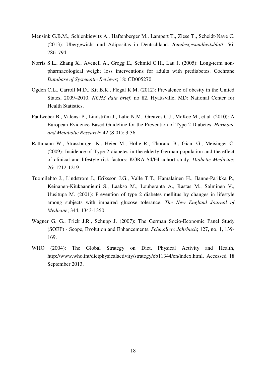- Mensink G.B.M., Schienkiewitz A., Haftenberger M., Lampert T., Ziese T., Scheidt-Nave C. (2013): Übergewicht und Adipositas in Deutschland. *Bundesgesundheitsblatt*; 56: 786–794.
- Norris S.L., Zhang X., Avenell A., Gregg E., Schmid C.H., Lau J. (2005): Long-term nonpharmacological weight loss interventions for adults with prediabetes. Cochrane *Database of Systematic Reviews*; 18: CD005270.
- Ogden C.L., Carroll M.D., Kit B.K., Flegal K.M. (2012): Prevalence of obesity in the United States, 2009–2010. *NCHS data brief*, no 82. Hyattsville, MD: National Center for Health Statistics.
- Paulweber B., Valensi P., Lindström J., Lalic N.M., Greaves C.J., McKee M., et al. (2010): A European Evidence-Based Guideline for the Prevention of Type 2 Diabetes. *Hormone and Metabolic Research*; 42 (S 01): 3-36.
- Rathmann W., Strassburger K., Heier M., Holle R., Thorand B., Giani G., Meisinger C. (2009): Incidence of Type 2 diabetes in the elderly German population and the effect of clinical and lifestyle risk factors: KORA S4/F4 cohort study. *Diabetic Medicine*; 26: 1212-1219.
- Tuomilehto J., Lindstrom J., Eriksson J.G., Valle T.T., Hamalainen H., Ilanne-Parikka P., Keinanen-Kiukaanniemi S., Laakso M., Louheranta A., Rastas M., Salminen V., Uusitupa M. (2001): Prevention of type 2 diabetes mellitus by changes in lifestyle among subjects with impaired glucose tolerance. *The New England Journal of Medicine*; 344, 1343-1350.
- Wagner G. G., Frick J.R., Schupp J. (2007): The German Socio-Economic Panel Study (SOEP) - Scope, Evolution and Enhancements. *Schmollers Jahrbuch*; 127, no. 1, 139- 169.
- WHO (2004): The Global Strategy on Diet, Physical Activity and Health, http://www.who.int/dietphysicalactivity/strategy/eb11344/en/index.html. Accessed 18 September 2013.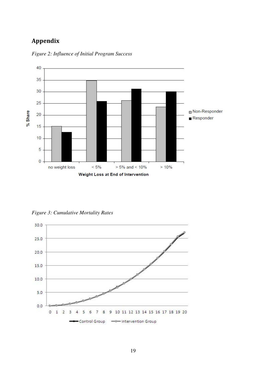# Appendix



*Figure 2: Influence of Initial Program Success* 

*Figure 3: Cumulative Mortality Rates*